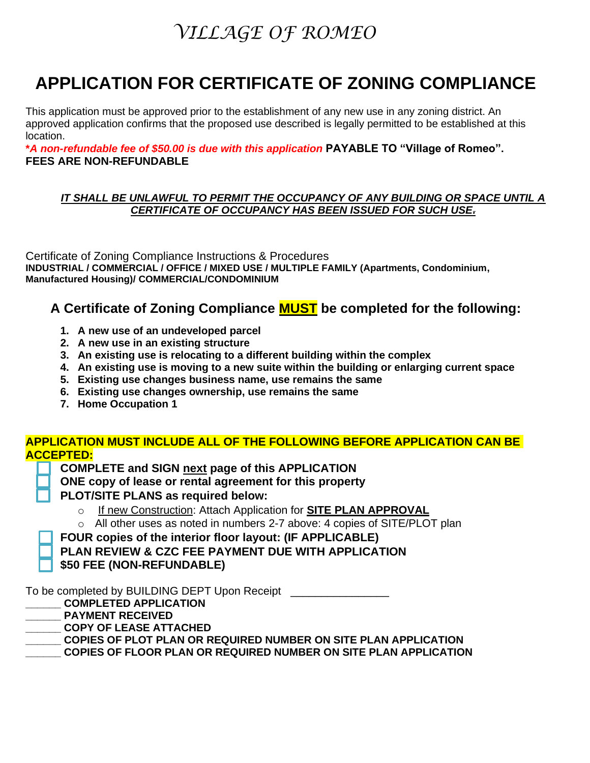### **APPLICATION FOR CERTIFICATE OF ZONING COMPLIANCE**

This application must be approved prior to the establishment of any new use in any zoning district. An approved application confirms that the proposed use described is legally permitted to be established at this location.

**\****A non-refundable fee of \$50.00 is due with this application* **PAYABLE TO "Village of Romeo". FEES ARE NON-REFUNDABLE** 

#### *IT SHALL BE UNLAWFUL TO PERMIT THE OCCUPANCY OF ANY BUILDING OR SPACE UNTIL A CERTIFICATE OF OCCUPANCY HAS BEEN ISSUED FOR SUCH USE.*

Certificate of Zoning Compliance Instructions & Procedures **INDUSTRIAL / COMMERCIAL / OFFICE / MIXED USE / MULTIPLE FAMILY (Apartments, Condominium, Manufactured Housing)/ COMMERCIAL/CONDOMINIUM**

#### **A Certificate of Zoning Compliance MUST be completed for the following:**

- **1. A new use of an undeveloped parcel**
- **2. A new use in an existing structure**
- **3. An existing use is relocating to a different building within the complex**
- **4. An existing use is moving to a new suite within the building or enlarging current space**
- **5. Existing use changes business name, use remains the same**
- **6. Existing use changes ownership, use remains the same**
- **7. Home Occupation 1**

#### **APPLICATION MUST INCLUDE ALL OF THE FOLLOWING BEFORE APPLICATION CAN BE ACCEPTED:**

- **COMPLETE and SIGN next page of this APPLICATION**
- **ONE copy of lease or rental agreement for this property**
- **PLOT/SITE PLANS as required below:** 
	- o If new Construction: Attach Application for **SITE PLAN APPROVAL**
	- o All other uses as noted in numbers 2-7 above: 4 copies of SITE/PLOT plan
- **FOUR copies of the interior floor layout: (IF APPLICABLE)**
- **PLAN REVIEW & CZC FEE PAYMENT DUE WITH APPLICATION**
- **\$50 FEE (NON-REFUNDABLE)**

To be completed by BUILDING DEPT Upon Receipt \_\_\_\_\_\_\_\_\_\_\_\_\_\_\_\_\_

- **\_\_\_\_\_\_ COMPLETED APPLICATION**
- **\_\_\_\_\_\_ PAYMENT RECEIVED**
- **\_\_\_\_\_\_ COPY OF LEASE ATTACHED**
- **\_\_\_\_\_\_ COPIES OF PLOT PLAN OR REQUIRED NUMBER ON SITE PLAN APPLICATION**
- **\_\_\_\_\_\_ COPIES OF FLOOR PLAN OR REQUIRED NUMBER ON SITE PLAN APPLICATION**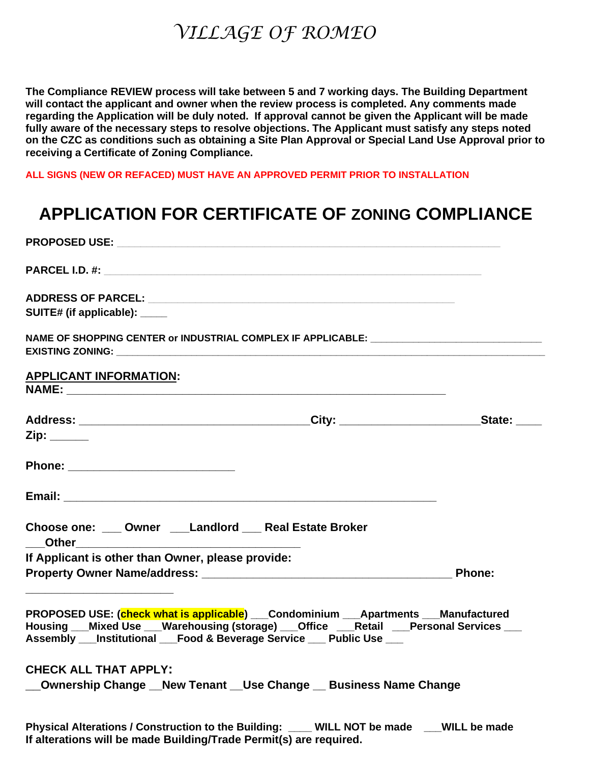**The Compliance REVIEW process will take between 5 and 7 working days. The Building Department will contact the applicant and owner when the review process is completed. Any comments made regarding the Application will be duly noted. If approval cannot be given the Applicant will be made fully aware of the necessary steps to resolve objections. The Applicant must satisfy any steps noted on the CZC as conditions such as obtaining a Site Plan Approval or Special Land Use Approval prior to receiving a Certificate of Zoning Compliance.** 

**ALL SIGNS (NEW OR REFACED) MUST HAVE AN APPROVED PERMIT PRIOR TO INSTALLATION**

#### **APPLICATION FOR CERTIFICATE OF ZONING COMPLIANCE**

| SUITE# (if applicable): _____                                                                                                                                                                                                                        |               |
|------------------------------------------------------------------------------------------------------------------------------------------------------------------------------------------------------------------------------------------------------|---------------|
| NAME OF SHOPPING CENTER or INDUSTRIAL COMPLEX IF APPLICABLE: ____________________                                                                                                                                                                    |               |
| <b>APPLICANT INFORMATION:</b>                                                                                                                                                                                                                        |               |
|                                                                                                                                                                                                                                                      |               |
| $Zip: \_\_$                                                                                                                                                                                                                                          |               |
|                                                                                                                                                                                                                                                      |               |
|                                                                                                                                                                                                                                                      |               |
| Choose one: ___ Owner ___Landlord ___ Real Estate Broker                                                                                                                                                                                             |               |
| If Applicant is other than Owner, please provide:                                                                                                                                                                                                    |               |
|                                                                                                                                                                                                                                                      | <b>Phone:</b> |
| PROPOSED USE: (check what is applicable) ___Condominium ___Apartments ___Manufactured<br>Housing __Mixed Use __Warehousing (storage) __Office __Retail __Personal Services __<br>Assembly __Institutional __Food & Beverage Service __ Public Use __ |               |
| <b>CHECK ALL THAT APPLY:</b>                                                                                                                                                                                                                         |               |
| Ownership Change __ New Tenant __ Use Change __ Business Name Change                                                                                                                                                                                 |               |
| Physical Alterations / Construction to the Building: ____ WILL NOT be made ___WILL be made<br>If alterations will be made Building/Trade Permit(s) are required.                                                                                     |               |